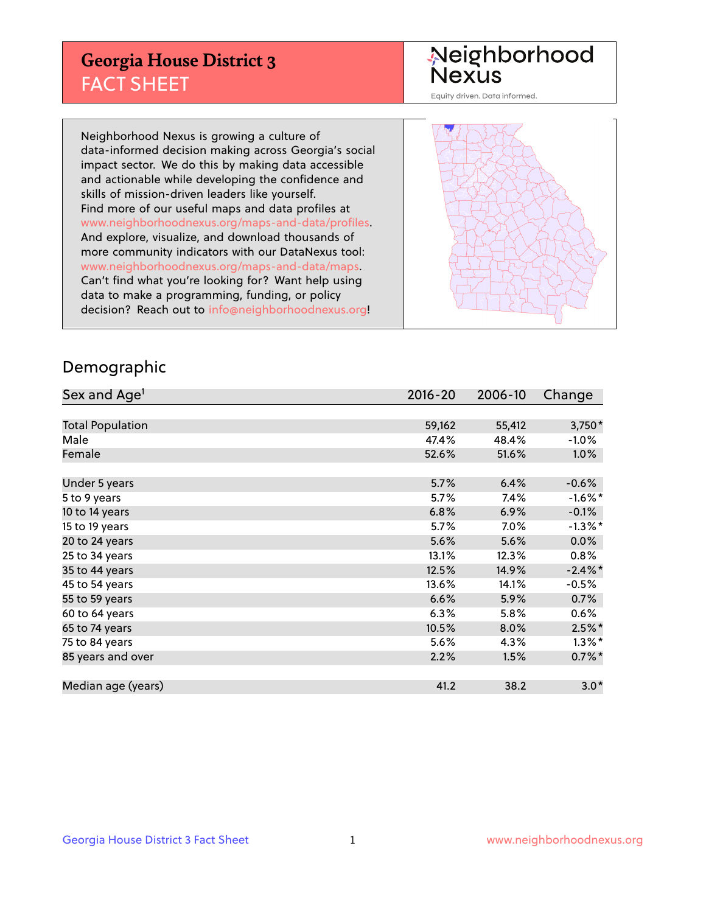## **Georgia House District 3** FACT SHEET

# Neighborhood<br>Nexus

Equity driven. Data informed.

Neighborhood Nexus is growing a culture of data-informed decision making across Georgia's social impact sector. We do this by making data accessible and actionable while developing the confidence and skills of mission-driven leaders like yourself. Find more of our useful maps and data profiles at www.neighborhoodnexus.org/maps-and-data/profiles. And explore, visualize, and download thousands of more community indicators with our DataNexus tool: www.neighborhoodnexus.org/maps-and-data/maps. Can't find what you're looking for? Want help using data to make a programming, funding, or policy decision? Reach out to [info@neighborhoodnexus.org!](mailto:info@neighborhoodnexus.org)



### Demographic

| Sex and Age <sup>1</sup> | $2016 - 20$ | 2006-10 | Change     |
|--------------------------|-------------|---------|------------|
|                          |             |         |            |
| <b>Total Population</b>  | 59,162      | 55,412  | $3,750*$   |
| Male                     | 47.4%       | 48.4%   | $-1.0\%$   |
| Female                   | 52.6%       | 51.6%   | $1.0\%$    |
|                          |             |         |            |
| Under 5 years            | 5.7%        | 6.4%    | $-0.6%$    |
| 5 to 9 years             | 5.7%        | 7.4%    | $-1.6\%$ * |
| 10 to 14 years           | 6.8%        | 6.9%    | $-0.1%$    |
| 15 to 19 years           | 5.7%        | $7.0\%$ | $-1.3\%$ * |
| 20 to 24 years           | 5.6%        | 5.6%    | 0.0%       |
| 25 to 34 years           | 13.1%       | 12.3%   | $0.8\%$    |
| 35 to 44 years           | 12.5%       | 14.9%   | $-2.4\%$ * |
| 45 to 54 years           | 13.6%       | 14.1%   | $-0.5%$    |
| 55 to 59 years           | 6.6%        | 5.9%    | 0.7%       |
| 60 to 64 years           | 6.3%        | 5.8%    | $0.6\%$    |
| 65 to 74 years           | 10.5%       | 8.0%    | $2.5\%$ *  |
| 75 to 84 years           | 5.6%        | 4.3%    | $1.3\%$ *  |
| 85 years and over        | 2.2%        | 1.5%    | $0.7\%$ *  |
|                          |             |         |            |
| Median age (years)       | 41.2        | 38.2    | $3.0*$     |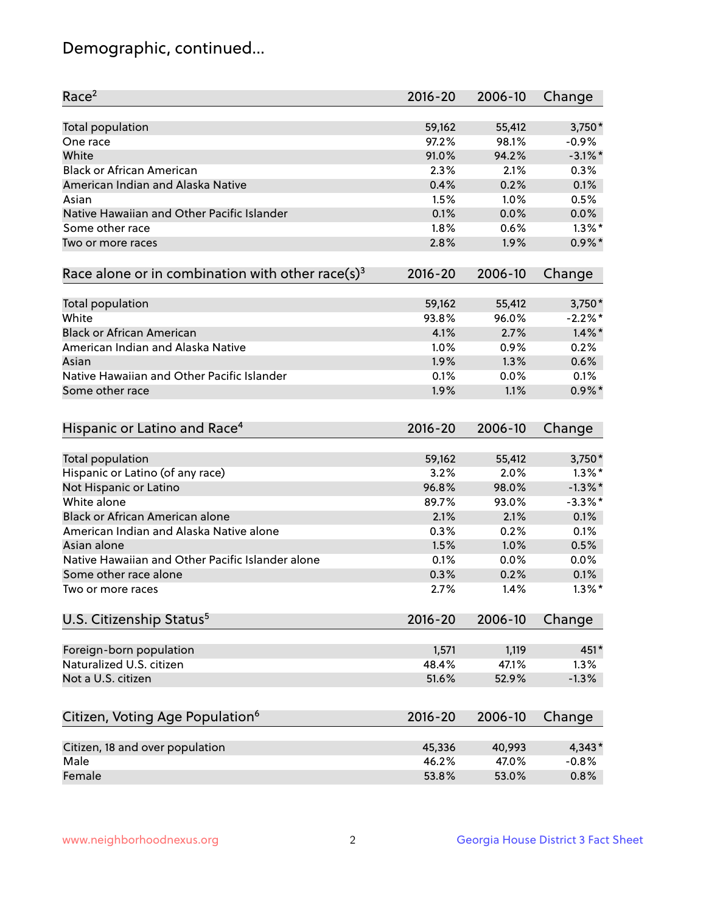## Demographic, continued...

| Race <sup>2</sup>                                            | $2016 - 20$    | 2006-10 | Change       |
|--------------------------------------------------------------|----------------|---------|--------------|
| <b>Total population</b>                                      | 59,162         | 55,412  | $3,750*$     |
| One race                                                     | 97.2%          | 98.1%   | $-0.9%$      |
| White                                                        | 91.0%          | 94.2%   | $-3.1\%$ *   |
| <b>Black or African American</b>                             | 2.3%           | 2.1%    | 0.3%         |
| American Indian and Alaska Native                            | 0.4%           | 0.2%    | 0.1%         |
| Asian                                                        | 1.5%           | 1.0%    | 0.5%         |
| Native Hawaiian and Other Pacific Islander                   | 0.1%           | 0.0%    | 0.0%         |
| Some other race                                              | 1.8%           | 0.6%    | $1.3\%$ *    |
| Two or more races                                            | 2.8%           | 1.9%    | $0.9\%$ *    |
| Race alone or in combination with other race(s) <sup>3</sup> | $2016 - 20$    | 2006-10 | Change       |
| Total population                                             | 59,162         | 55,412  | 3,750*       |
| White                                                        | 93.8%          | 96.0%   | $-2.2%$ *    |
| <b>Black or African American</b>                             | 4.1%           | 2.7%    | $1.4\%$ *    |
| American Indian and Alaska Native                            | 1.0%           | 0.9%    | 0.2%         |
| Asian                                                        | 1.9%           | 1.3%    | 0.6%         |
| Native Hawaiian and Other Pacific Islander                   | 0.1%           | 0.0%    | 0.1%         |
| Some other race                                              | 1.9%           | 1.1%    | $0.9\%$ *    |
| Hispanic or Latino and Race <sup>4</sup>                     | $2016 - 20$    | 2006-10 | Change       |
| Total population                                             | 59,162         | 55,412  | $3,750*$     |
| Hispanic or Latino (of any race)                             | 3.2%           | 2.0%    | $1.3\%$ *    |
| Not Hispanic or Latino                                       | 96.8%          | 98.0%   | $-1.3\%$ *   |
| White alone                                                  | 89.7%          | 93.0%   | $-3.3\%$ *   |
| Black or African American alone                              | 2.1%           | 2.1%    | 0.1%         |
| American Indian and Alaska Native alone                      | 0.3%           | 0.2%    | 0.1%         |
| Asian alone                                                  | 1.5%           | 1.0%    | 0.5%         |
| Native Hawaiian and Other Pacific Islander alone             | 0.1%           | 0.0%    | 0.0%         |
| Some other race alone                                        | 0.3%           | 0.2%    | 0.1%         |
| Two or more races                                            | 2.7%           | 1.4%    | $1.3\%$ *    |
| U.S. Citizenship Status <sup>5</sup>                         | $2016 - 20$    | 2006-10 | Change       |
|                                                              |                |         |              |
| Foreign-born population<br>Naturalized U.S. citizen          | 1,571          | 1,119   | 451*<br>1.3% |
|                                                              | 48.4%<br>51.6% | 47.1%   |              |
| Not a U.S. citizen                                           |                | 52.9%   | $-1.3%$      |
| Citizen, Voting Age Population <sup>6</sup>                  | $2016 - 20$    | 2006-10 | Change       |
| Citizen, 18 and over population                              | 45,336         | 40,993  | $4,343*$     |
| Male                                                         | 46.2%          | 47.0%   | $-0.8%$      |
| Female                                                       | 53.8%          | 53.0%   | 0.8%         |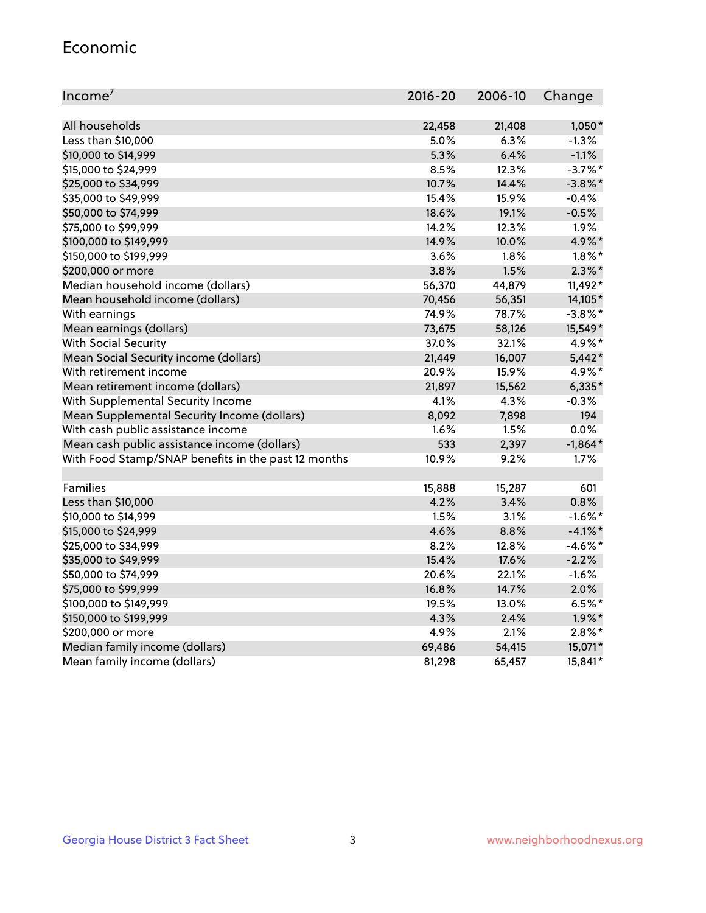#### Economic

| Income <sup>7</sup>                                 | $2016 - 20$ | 2006-10 | Change     |
|-----------------------------------------------------|-------------|---------|------------|
|                                                     |             |         |            |
| All households                                      | 22,458      | 21,408  | $1,050*$   |
| Less than \$10,000                                  | 5.0%        | 6.3%    | $-1.3%$    |
| \$10,000 to \$14,999                                | 5.3%        | 6.4%    | $-1.1%$    |
| \$15,000 to \$24,999                                | 8.5%        | 12.3%   | $-3.7%$ *  |
| \$25,000 to \$34,999                                | 10.7%       | 14.4%   | $-3.8\%$ * |
| \$35,000 to \$49,999                                | 15.4%       | 15.9%   | $-0.4%$    |
| \$50,000 to \$74,999                                | 18.6%       | 19.1%   | $-0.5%$    |
| \$75,000 to \$99,999                                | 14.2%       | 12.3%   | 1.9%       |
| \$100,000 to \$149,999                              | 14.9%       | 10.0%   | 4.9%*      |
| \$150,000 to \$199,999                              | 3.6%        | 1.8%    | $1.8\%$ *  |
| \$200,000 or more                                   | 3.8%        | 1.5%    | $2.3\%$ *  |
| Median household income (dollars)                   | 56,370      | 44,879  | 11,492*    |
| Mean household income (dollars)                     | 70,456      | 56,351  | 14,105*    |
| With earnings                                       | 74.9%       | 78.7%   | $-3.8\%$ * |
| Mean earnings (dollars)                             | 73,675      | 58,126  | 15,549*    |
| <b>With Social Security</b>                         | 37.0%       | 32.1%   | 4.9%*      |
| Mean Social Security income (dollars)               | 21,449      | 16,007  | $5,442*$   |
| With retirement income                              | 20.9%       | 15.9%   | 4.9%*      |
| Mean retirement income (dollars)                    | 21,897      | 15,562  | $6,335*$   |
| With Supplemental Security Income                   | 4.1%        | 4.3%    | $-0.3%$    |
| Mean Supplemental Security Income (dollars)         | 8,092       | 7,898   | 194        |
| With cash public assistance income                  | 1.6%        | 1.5%    | 0.0%       |
| Mean cash public assistance income (dollars)        | 533         | 2,397   | $-1,864*$  |
| With Food Stamp/SNAP benefits in the past 12 months | 10.9%       | 9.2%    | 1.7%       |
|                                                     |             |         |            |
| Families                                            | 15,888      | 15,287  | 601        |
| Less than \$10,000                                  | 4.2%        | 3.4%    | 0.8%       |
| \$10,000 to \$14,999                                | 1.5%        | 3.1%    | $-1.6\%$ * |
| \$15,000 to \$24,999                                | 4.6%        | 8.8%    | $-4.1\%$ * |
| \$25,000 to \$34,999                                | 8.2%        | 12.8%   | $-4.6\%$ * |
| \$35,000 to \$49,999                                | 15.4%       | 17.6%   | $-2.2%$    |
| \$50,000 to \$74,999                                | 20.6%       | 22.1%   | $-1.6%$    |
| \$75,000 to \$99,999                                | 16.8%       | 14.7%   | 2.0%       |
| \$100,000 to \$149,999                              | 19.5%       | 13.0%   | $6.5%$ *   |
| \$150,000 to \$199,999                              | 4.3%        | 2.4%    | $1.9\%$ *  |
| \$200,000 or more                                   | 4.9%        | 2.1%    | $2.8\%$ *  |
| Median family income (dollars)                      | 69,486      | 54,415  | 15,071*    |
| Mean family income (dollars)                        | 81,298      | 65,457  | 15,841*    |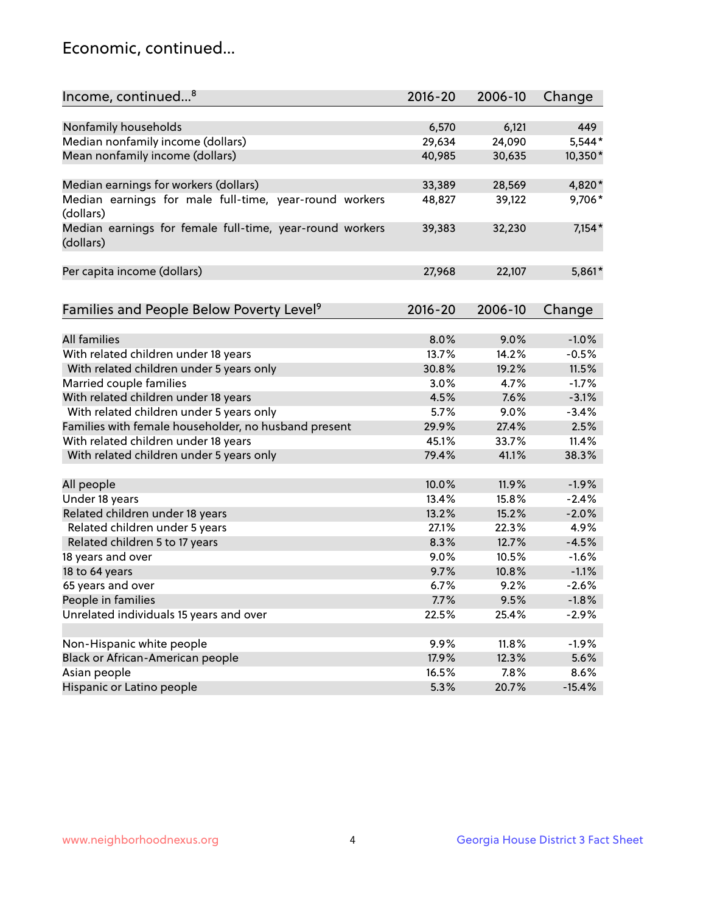## Economic, continued...

| Income, continued <sup>8</sup>                           | $2016 - 20$ | 2006-10       | Change   |
|----------------------------------------------------------|-------------|---------------|----------|
|                                                          |             |               |          |
| Nonfamily households                                     | 6,570       | 6,121         | 449      |
| Median nonfamily income (dollars)                        | 29,634      | 24,090        | 5,544*   |
| Mean nonfamily income (dollars)                          | 40,985      | 30,635        | 10,350*  |
|                                                          |             |               |          |
| Median earnings for workers (dollars)                    | 33,389      | 28,569        | 4,820*   |
| Median earnings for male full-time, year-round workers   | 48,827      | 39,122        | 9,706*   |
| (dollars)                                                |             |               |          |
| Median earnings for female full-time, year-round workers | 39,383      | 32,230        | $7,154*$ |
| (dollars)                                                |             |               |          |
|                                                          |             |               |          |
| Per capita income (dollars)                              | 27,968      | 22,107        | 5,861*   |
|                                                          |             |               |          |
|                                                          | $2016 - 20$ | 2006-10       |          |
| Families and People Below Poverty Level <sup>9</sup>     |             |               | Change   |
| All families                                             | 8.0%        |               | $-1.0%$  |
| With related children under 18 years                     | 13.7%       | 9.0%<br>14.2% | $-0.5%$  |
|                                                          |             | 19.2%         | 11.5%    |
| With related children under 5 years only                 | 30.8%       |               |          |
| Married couple families                                  | 3.0%        | 4.7%          | $-1.7%$  |
| With related children under 18 years                     | 4.5%        | 7.6%          | $-3.1%$  |
| With related children under 5 years only                 | 5.7%        | 9.0%          | $-3.4%$  |
| Families with female householder, no husband present     | 29.9%       | 27.4%         | 2.5%     |
| With related children under 18 years                     | 45.1%       | 33.7%         | 11.4%    |
| With related children under 5 years only                 | 79.4%       | 41.1%         | 38.3%    |
| All people                                               | 10.0%       | 11.9%         | $-1.9%$  |
| Under 18 years                                           | 13.4%       | 15.8%         | $-2.4%$  |
| Related children under 18 years                          | 13.2%       | 15.2%         | $-2.0%$  |
| Related children under 5 years                           | 27.1%       | 22.3%         | 4.9%     |
| Related children 5 to 17 years                           | 8.3%        | 12.7%         | $-4.5%$  |
| 18 years and over                                        | 9.0%        | 10.5%         | $-1.6%$  |
| 18 to 64 years                                           | 9.7%        | 10.8%         | $-1.1%$  |
| 65 years and over                                        | 6.7%        | 9.2%          | $-2.6%$  |
| People in families                                       | 7.7%        | 9.5%          | $-1.8%$  |
| Unrelated individuals 15 years and over                  | 22.5%       | 25.4%         | $-2.9%$  |
|                                                          |             |               |          |
| Non-Hispanic white people                                | 9.9%        | 11.8%         | $-1.9%$  |
| Black or African-American people                         | 17.9%       | 12.3%         | 5.6%     |
| Asian people                                             | 16.5%       | 7.8%          | 8.6%     |
| Hispanic or Latino people                                | 5.3%        | 20.7%         | $-15.4%$ |
|                                                          |             |               |          |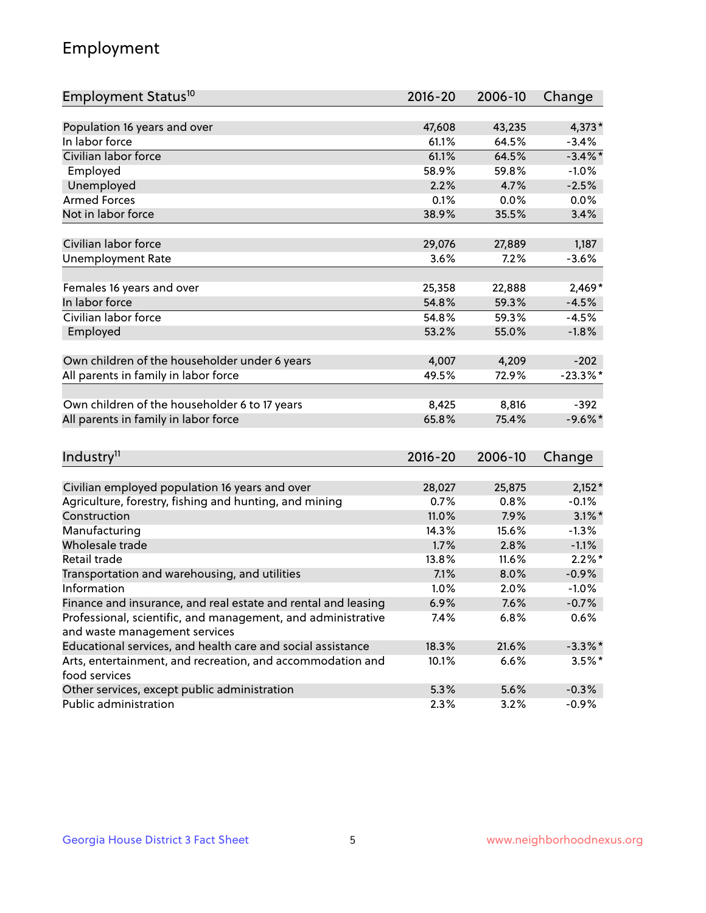## Employment

| Employment Status <sup>10</sup>                                             | $2016 - 20$ | 2006-10 | Change     |
|-----------------------------------------------------------------------------|-------------|---------|------------|
|                                                                             |             |         |            |
| Population 16 years and over<br>In labor force                              | 47,608      | 43,235  | 4,373*     |
| Civilian labor force                                                        | 61.1%       | 64.5%   | $-3.4%$    |
|                                                                             | 61.1%       | 64.5%   | $-3.4\%$ * |
| Employed                                                                    | 58.9%       | 59.8%   | $-1.0%$    |
| Unemployed                                                                  | 2.2%        | 4.7%    | $-2.5%$    |
| <b>Armed Forces</b>                                                         | 0.1%        | 0.0%    | 0.0%       |
| Not in labor force                                                          | 38.9%       | 35.5%   | 3.4%       |
| Civilian labor force                                                        | 29,076      | 27,889  | 1,187      |
|                                                                             | 3.6%        | 7.2%    |            |
| <b>Unemployment Rate</b>                                                    |             |         | $-3.6%$    |
| Females 16 years and over                                                   | 25,358      | 22,888  | 2,469*     |
| In labor force                                                              | 54.8%       | 59.3%   | $-4.5%$    |
| Civilian labor force                                                        | 54.8%       | 59.3%   | $-4.5%$    |
| Employed                                                                    | 53.2%       | 55.0%   | $-1.8%$    |
|                                                                             |             |         |            |
| Own children of the householder under 6 years                               | 4,007       | 4,209   | $-202$     |
| All parents in family in labor force                                        | 49.5%       | 72.9%   | $-23.3%$ * |
|                                                                             |             |         |            |
| Own children of the householder 6 to 17 years                               | 8,425       | 8,816   | $-392$     |
| All parents in family in labor force                                        | 65.8%       | 75.4%   | $-9.6%$ *  |
|                                                                             |             |         |            |
| Industry <sup>11</sup>                                                      | $2016 - 20$ | 2006-10 | Change     |
|                                                                             |             |         |            |
| Civilian employed population 16 years and over                              | 28,027      | 25,875  | $2,152*$   |
| Agriculture, forestry, fishing and hunting, and mining                      | 0.7%        | 0.8%    | $-0.1%$    |
| Construction                                                                | 11.0%       | 7.9%    | $3.1\%$ *  |
| Manufacturing                                                               | 14.3%       | 15.6%   | $-1.3%$    |
| Wholesale trade                                                             | 1.7%        | 2.8%    | $-1.1%$    |
| Retail trade                                                                | 13.8%       | 11.6%   | $2.2\%$ *  |
| Transportation and warehousing, and utilities                               | 7.1%        | 8.0%    | $-0.9%$    |
| Information                                                                 | 1.0%        | 2.0%    | $-1.0%$    |
| Finance and insurance, and real estate and rental and leasing               | 6.9%        | 7.6%    | $-0.7%$    |
| Professional, scientific, and management, and administrative                | 7.4%        | 6.8%    | 0.6%       |
| and waste management services                                               |             |         |            |
| Educational services, and health care and social assistance                 | 18.3%       | 21.6%   | $-3.3\%$ * |
| Arts, entertainment, and recreation, and accommodation and<br>food services | 10.1%       | 6.6%    | $3.5\%$ *  |
| Other services, except public administration                                | 5.3%        | 5.6%    | $-0.3%$    |
| Public administration                                                       | 2.3%        | 3.2%    | $-0.9%$    |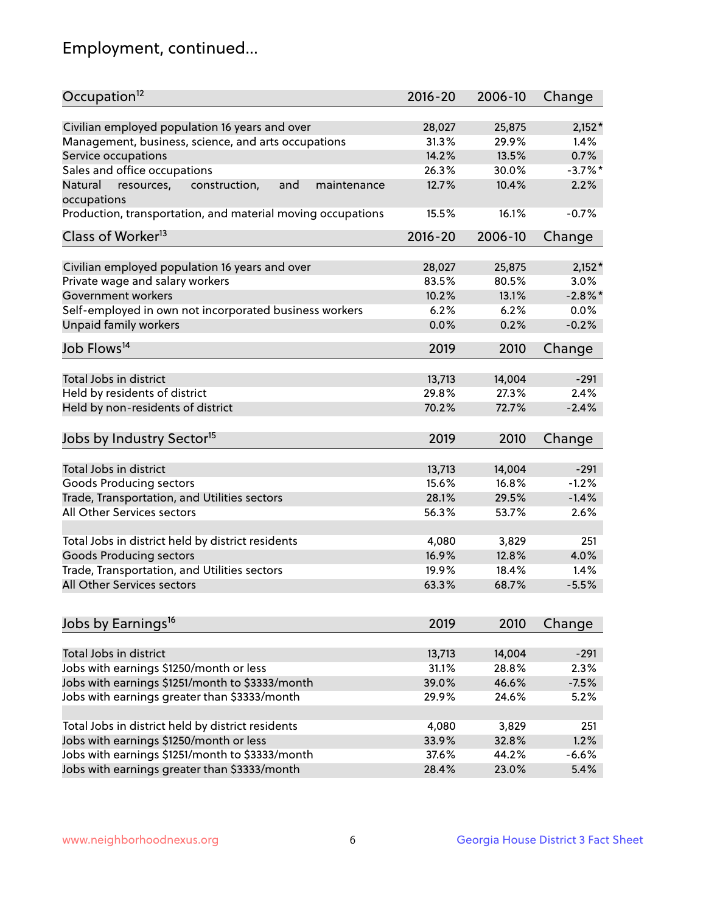## Employment, continued...

| Occupation <sup>12</sup>                                                    | $2016 - 20$ | 2006-10 | Change     |
|-----------------------------------------------------------------------------|-------------|---------|------------|
| Civilian employed population 16 years and over                              | 28,027      | 25,875  | $2,152*$   |
| Management, business, science, and arts occupations                         | 31.3%       | 29.9%   | 1.4%       |
| Service occupations                                                         | 14.2%       | 13.5%   | 0.7%       |
| Sales and office occupations                                                | 26.3%       | 30.0%   | $-3.7\%$ * |
|                                                                             |             | 10.4%   | 2.2%       |
| Natural<br>and<br>resources,<br>construction,<br>maintenance<br>occupations | 12.7%       |         |            |
| Production, transportation, and material moving occupations                 | 15.5%       | 16.1%   | $-0.7%$    |
| Class of Worker <sup>13</sup>                                               | $2016 - 20$ | 2006-10 | Change     |
|                                                                             |             |         |            |
| Civilian employed population 16 years and over                              | 28,027      | 25,875  | $2,152*$   |
| Private wage and salary workers                                             | 83.5%       | 80.5%   | 3.0%       |
| Government workers                                                          | 10.2%       | 13.1%   | $-2.8%$    |
| Self-employed in own not incorporated business workers                      | 6.2%        | 6.2%    | 0.0%       |
| Unpaid family workers                                                       | 0.0%        | 0.2%    | $-0.2%$    |
| Job Flows <sup>14</sup>                                                     | 2019        | 2010    | Change     |
|                                                                             |             |         |            |
| Total Jobs in district                                                      | 13,713      | 14,004  | $-291$     |
| Held by residents of district                                               | 29.8%       | 27.3%   | 2.4%       |
| Held by non-residents of district                                           | 70.2%       | 72.7%   | $-2.4%$    |
| Jobs by Industry Sector <sup>15</sup>                                       | 2019        | 2010    | Change     |
|                                                                             |             |         |            |
| Total Jobs in district                                                      | 13,713      | 14,004  | $-291$     |
| Goods Producing sectors                                                     | 15.6%       | 16.8%   | $-1.2%$    |
| Trade, Transportation, and Utilities sectors                                | 28.1%       | 29.5%   | $-1.4%$    |
| All Other Services sectors                                                  | 56.3%       | 53.7%   | 2.6%       |
| Total Jobs in district held by district residents                           | 4,080       | 3,829   | 251        |
| <b>Goods Producing sectors</b>                                              | 16.9%       | 12.8%   | 4.0%       |
| Trade, Transportation, and Utilities sectors                                | 19.9%       | 18.4%   | 1.4%       |
| All Other Services sectors                                                  | 63.3%       | 68.7%   | $-5.5%$    |
|                                                                             |             |         |            |
| Jobs by Earnings <sup>16</sup>                                              | 2019        | 2010    | Change     |
|                                                                             |             |         |            |
| Total Jobs in district                                                      | 13,713      | 14,004  | $-291$     |
| Jobs with earnings \$1250/month or less                                     | 31.1%       | 28.8%   | 2.3%       |
| Jobs with earnings \$1251/month to \$3333/month                             | 39.0%       | 46.6%   | $-7.5%$    |
| Jobs with earnings greater than \$3333/month                                | 29.9%       | 24.6%   | 5.2%       |
| Total Jobs in district held by district residents                           | 4,080       | 3,829   | 251        |
| Jobs with earnings \$1250/month or less                                     | 33.9%       | 32.8%   | 1.2%       |
| Jobs with earnings \$1251/month to \$3333/month                             | 37.6%       | 44.2%   | $-6.6%$    |
| Jobs with earnings greater than \$3333/month                                | 28.4%       | 23.0%   | 5.4%       |
|                                                                             |             |         |            |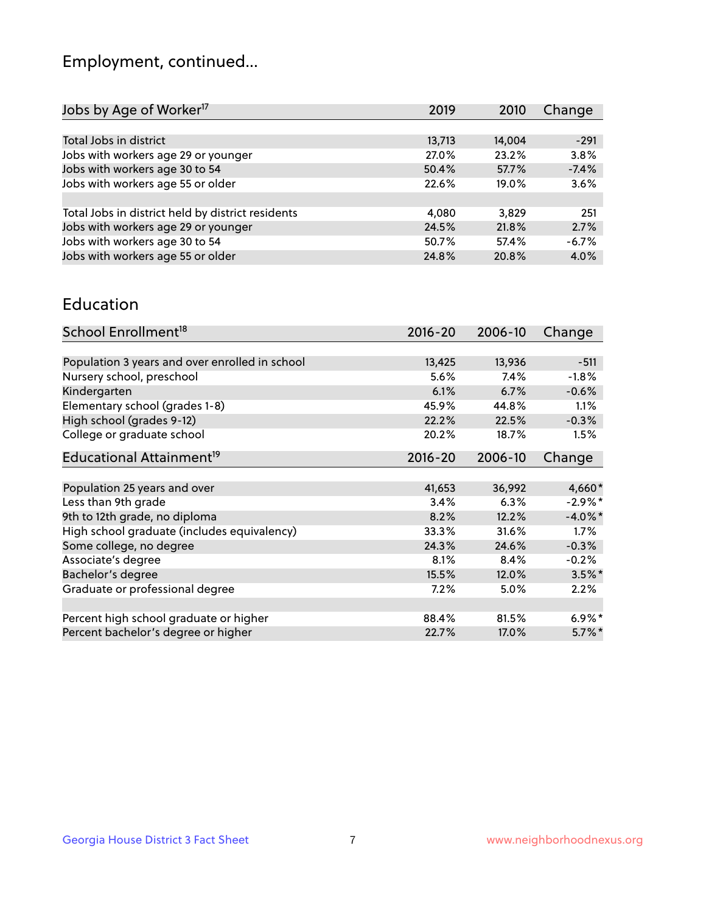## Employment, continued...

| Change  |
|---------|
|         |
| $-291$  |
| 3.8%    |
| $-7.4%$ |
| 3.6%    |
|         |
| 251     |
| 2.7%    |
| $-6.7%$ |
| 4.0%    |
|         |

#### Education

| School Enrollment <sup>18</sup>                | $2016 - 20$ | 2006-10 | Change     |
|------------------------------------------------|-------------|---------|------------|
|                                                |             |         |            |
| Population 3 years and over enrolled in school | 13,425      | 13,936  | $-511$     |
| Nursery school, preschool                      | 5.6%        | 7.4%    | $-1.8%$    |
| Kindergarten                                   | 6.1%        | 6.7%    | $-0.6%$    |
| Elementary school (grades 1-8)                 | 45.9%       | 44.8%   | 1.1%       |
| High school (grades 9-12)                      | 22.2%       | 22.5%   | $-0.3%$    |
| College or graduate school                     | 20.2%       | 18.7%   | 1.5%       |
| Educational Attainment <sup>19</sup>           | $2016 - 20$ | 2006-10 | Change     |
|                                                |             |         |            |
| Population 25 years and over                   | 41,653      | 36,992  | 4,660*     |
| Less than 9th grade                            | 3.4%        | 6.3%    | $-2.9%$ *  |
| 9th to 12th grade, no diploma                  | 8.2%        | 12.2%   | $-4.0\%$ * |
| High school graduate (includes equivalency)    | 33.3%       | 31.6%   | 1.7%       |
| Some college, no degree                        | 24.3%       | 24.6%   | $-0.3%$    |
| Associate's degree                             | 8.1%        | 8.4%    | $-0.2%$    |
| Bachelor's degree                              | 15.5%       | 12.0%   | $3.5\%$ *  |
| Graduate or professional degree                | 7.2%        | $5.0\%$ | 2.2%       |
|                                                |             |         |            |
| Percent high school graduate or higher         | 88.4%       | 81.5%   | $6.9\%*$   |
| Percent bachelor's degree or higher            | 22.7%       | 17.0%   | $5.7\%$ *  |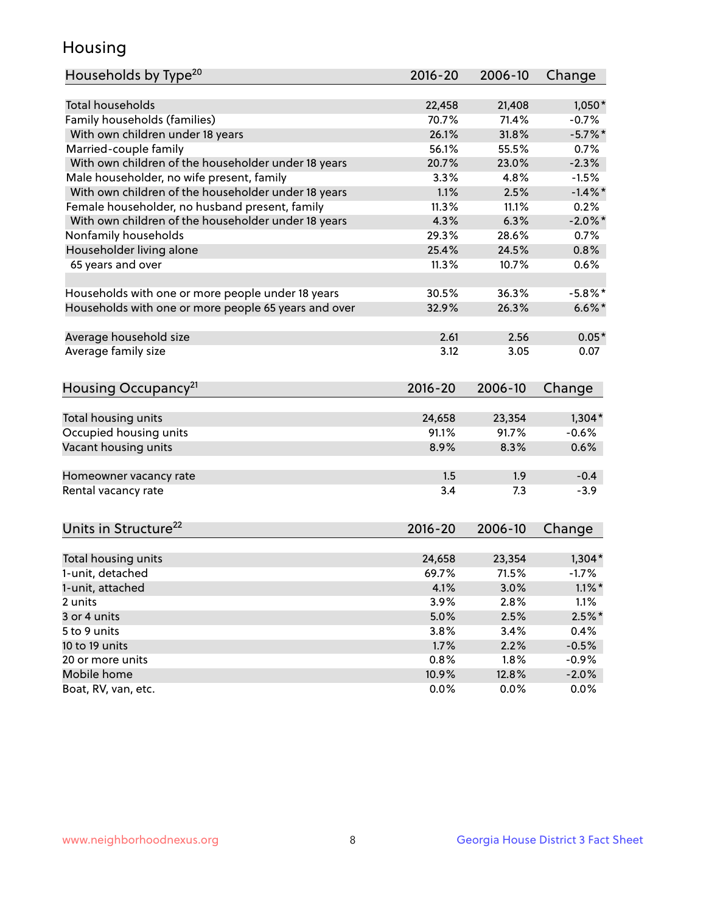## Housing

| Households by Type <sup>20</sup>                     | 2016-20     | 2006-10 | Change     |
|------------------------------------------------------|-------------|---------|------------|
|                                                      |             |         |            |
| <b>Total households</b>                              | 22,458      | 21,408  | $1,050*$   |
| Family households (families)                         | 70.7%       | 71.4%   | $-0.7%$    |
| With own children under 18 years                     | 26.1%       | 31.8%   | $-5.7\%$ * |
| Married-couple family                                | 56.1%       | 55.5%   | 0.7%       |
| With own children of the householder under 18 years  | 20.7%       | 23.0%   | $-2.3%$    |
| Male householder, no wife present, family            | 3.3%        | 4.8%    | $-1.5%$    |
| With own children of the householder under 18 years  | 1.1%        | 2.5%    | $-1.4\%$ * |
| Female householder, no husband present, family       | 11.3%       | 11.1%   | 0.2%       |
| With own children of the householder under 18 years  | 4.3%        | 6.3%    | $-2.0\%$ * |
| Nonfamily households                                 | 29.3%       | 28.6%   | 0.7%       |
| Householder living alone                             | 25.4%       | 24.5%   | 0.8%       |
| 65 years and over                                    | 11.3%       | 10.7%   | 0.6%       |
| Households with one or more people under 18 years    | 30.5%       | 36.3%   | $-5.8\%$ * |
| Households with one or more people 65 years and over | 32.9%       | 26.3%   | $6.6\%$ *  |
| Average household size                               | 2.61        | 2.56    | $0.05*$    |
| Average family size                                  | 3.12        | 3.05    | 0.07       |
|                                                      |             |         |            |
| Housing Occupancy <sup>21</sup>                      | $2016 - 20$ | 2006-10 | Change     |
| Total housing units                                  | 24,658      | 23,354  | $1,304*$   |
| Occupied housing units                               | 91.1%       | 91.7%   | $-0.6%$    |
| Vacant housing units                                 | 8.9%        | 8.3%    | 0.6%       |
|                                                      |             |         |            |
| Homeowner vacancy rate                               | 1.5         | 1.9     | $-0.4$     |
| Rental vacancy rate                                  | 3.4         | 7.3     | $-3.9$     |
| Units in Structure <sup>22</sup>                     | 2016-20     | 2006-10 | Change     |
|                                                      |             |         |            |
| Total housing units                                  | 24,658      | 23,354  | $1,304*$   |
| 1-unit, detached                                     | 69.7%       | 71.5%   | $-1.7%$    |
| 1-unit, attached                                     | 4.1%        | 3.0%    | $1.1\%$ *  |
| 2 units                                              | 3.9%        | 2.8%    | 1.1%       |
| 3 or 4 units                                         | 5.0%        | 2.5%    | $2.5\%$ *  |
| 5 to 9 units                                         | 3.8%        | 3.4%    | 0.4%       |
| 10 to 19 units                                       | 1.7%        | 2.2%    | $-0.5%$    |
| 20 or more units                                     | 0.8%        | 1.8%    | $-0.9%$    |
| Mobile home                                          | 10.9%       | 12.8%   | $-2.0%$    |
| Boat, RV, van, etc.                                  | 0.0%        | 0.0%    | 0.0%       |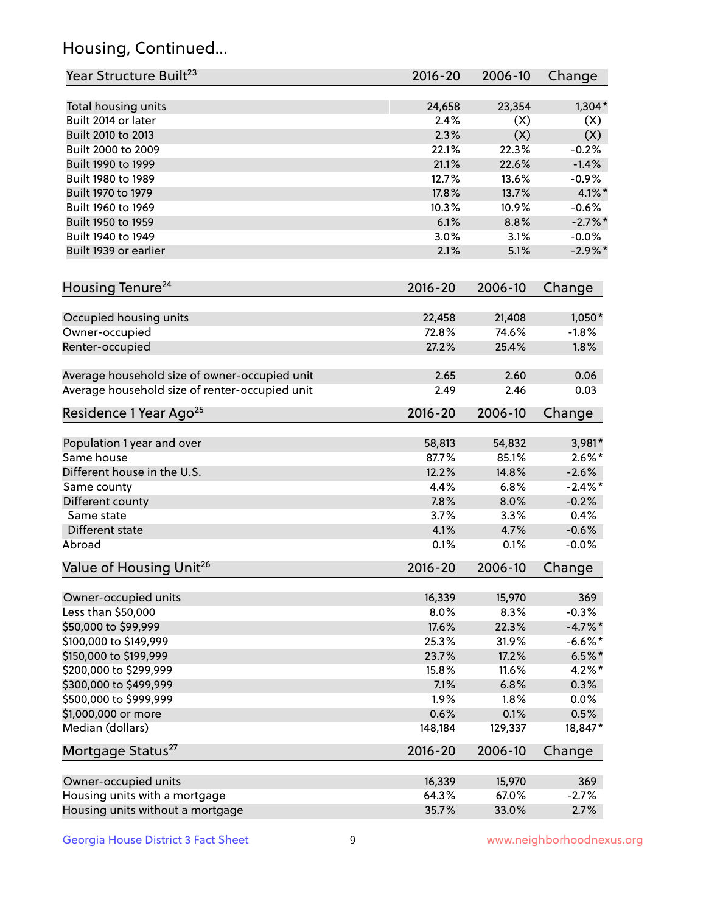## Housing, Continued...

| Year Structure Built <sup>23</sup>             | 2016-20     | 2006-10 | Change     |
|------------------------------------------------|-------------|---------|------------|
| Total housing units                            | 24,658      | 23,354  | $1,304*$   |
| Built 2014 or later                            | 2.4%        | (X)     | (X)        |
| Built 2010 to 2013                             | 2.3%        | (X)     | (X)        |
| Built 2000 to 2009                             | 22.1%       | 22.3%   | $-0.2%$    |
| Built 1990 to 1999                             | 21.1%       | 22.6%   | $-1.4%$    |
| Built 1980 to 1989                             | 12.7%       | 13.6%   | $-0.9%$    |
| Built 1970 to 1979                             | 17.8%       | 13.7%   | 4.1%*      |
| Built 1960 to 1969                             | 10.3%       | 10.9%   | $-0.6%$    |
| Built 1950 to 1959                             | 6.1%        | 8.8%    | $-2.7\%$ * |
| Built 1940 to 1949                             | 3.0%        | 3.1%    | $-0.0%$    |
| Built 1939 or earlier                          | 2.1%        | 5.1%    | $-2.9\%$ * |
|                                                |             |         |            |
| Housing Tenure <sup>24</sup>                   | $2016 - 20$ | 2006-10 | Change     |
| Occupied housing units                         | 22,458      | 21,408  | $1,050*$   |
| Owner-occupied                                 | 72.8%       | 74.6%   | $-1.8%$    |
| Renter-occupied                                | 27.2%       | 25.4%   | 1.8%       |
|                                                |             |         |            |
| Average household size of owner-occupied unit  | 2.65        | 2.60    | 0.06       |
| Average household size of renter-occupied unit | 2.49        | 2.46    | 0.03       |
| Residence 1 Year Ago <sup>25</sup>             | $2016 - 20$ | 2006-10 | Change     |
| Population 1 year and over                     | 58,813      | 54,832  | 3,981*     |
| Same house                                     | 87.7%       | 85.1%   | $2.6\%*$   |
| Different house in the U.S.                    | 12.2%       | 14.8%   | $-2.6%$    |
| Same county                                    | 4.4%        | 6.8%    | $-2.4\%$ * |
| Different county                               | 7.8%        | 8.0%    | $-0.2%$    |
| Same state                                     | 3.7%        | 3.3%    | 0.4%       |
| Different state                                | 4.1%        | 4.7%    | $-0.6%$    |
| Abroad                                         | 0.1%        | 0.1%    | $-0.0%$    |
| Value of Housing Unit <sup>26</sup>            | $2016 - 20$ | 2006-10 | Change     |
|                                                |             |         |            |
| Owner-occupied units                           | 16,339      | 15,970  | 369        |
| Less than \$50,000                             | 8.0%        | 8.3%    | $-0.3%$    |
| \$50,000 to \$99,999                           | 17.6%       | 22.3%   | $-4.7\%$ * |
| \$100,000 to \$149,999                         | 25.3%       | 31.9%   | $-6.6\%$ * |
| \$150,000 to \$199,999                         | 23.7%       | 17.2%   | $6.5%$ *   |
| \$200,000 to \$299,999                         | 15.8%       | 11.6%   | $4.2\%$ *  |
| \$300,000 to \$499,999                         | 7.1%        | 6.8%    | 0.3%       |
| \$500,000 to \$999,999                         | 1.9%        | 1.8%    | 0.0%       |
| \$1,000,000 or more                            | 0.6%        | 0.1%    | 0.5%       |
| Median (dollars)                               | 148,184     | 129,337 | 18,847*    |
| Mortgage Status <sup>27</sup>                  | $2016 - 20$ | 2006-10 | Change     |
|                                                |             |         |            |
| Owner-occupied units                           | 16,339      | 15,970  | 369        |
| Housing units with a mortgage                  | 64.3%       | 67.0%   | $-2.7%$    |
| Housing units without a mortgage               | 35.7%       | 33.0%   | 2.7%       |

Georgia House District 3 Fact Sheet 9 9 9 Www.neighborhoodnexus.org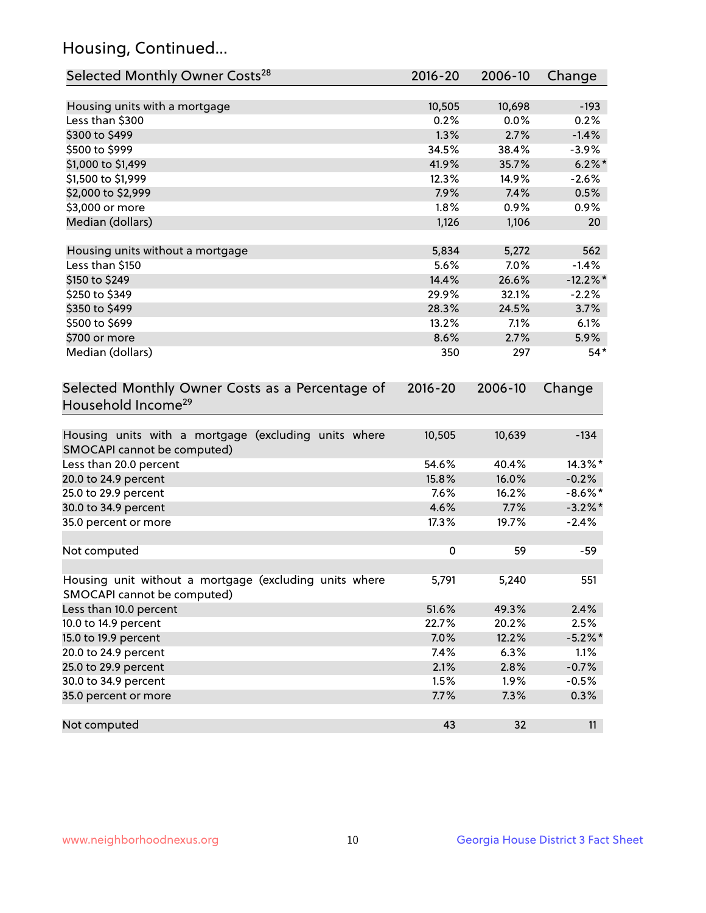## Housing, Continued...

| Selected Monthly Owner Costs <sup>28</sup>                                            | 2016-20     | 2006-10 | Change      |
|---------------------------------------------------------------------------------------|-------------|---------|-------------|
| Housing units with a mortgage                                                         | 10,505      | 10,698  | $-193$      |
| Less than \$300                                                                       | 0.2%        | 0.0%    | 0.2%        |
| \$300 to \$499                                                                        | 1.3%        | 2.7%    | $-1.4%$     |
| \$500 to \$999                                                                        | 34.5%       | 38.4%   | $-3.9%$     |
| \$1,000 to \$1,499                                                                    | 41.9%       | 35.7%   | $6.2\%$     |
| \$1,500 to \$1,999                                                                    | 12.3%       | 14.9%   | $-2.6%$     |
| \$2,000 to \$2,999                                                                    | 7.9%        | 7.4%    | 0.5%        |
| \$3,000 or more                                                                       | 1.8%        | 0.9%    | 0.9%        |
| Median (dollars)                                                                      | 1,126       | 1,106   | 20          |
|                                                                                       |             |         |             |
| Housing units without a mortgage                                                      | 5,834       | 5,272   | 562         |
| Less than \$150                                                                       | 5.6%        | 7.0%    | $-1.4%$     |
| \$150 to \$249                                                                        | 14.4%       | 26.6%   | $-12.2\%$ * |
| \$250 to \$349                                                                        | 29.9%       | 32.1%   | $-2.2%$     |
| \$350 to \$499                                                                        | 28.3%       | 24.5%   | 3.7%        |
| \$500 to \$699                                                                        | 13.2%       | 7.1%    | 6.1%        |
| \$700 or more                                                                         | 8.6%        | 2.7%    | 5.9%        |
| Median (dollars)                                                                      | 350         | 297     | $54*$       |
| Selected Monthly Owner Costs as a Percentage of<br>Household Income <sup>29</sup>     | $2016 - 20$ | 2006-10 | Change      |
| Housing units with a mortgage (excluding units where<br>SMOCAPI cannot be computed)   | 10,505      | 10,639  | $-134$      |
| Less than 20.0 percent                                                                | 54.6%       | 40.4%   | 14.3%*      |
| 20.0 to 24.9 percent                                                                  | 15.8%       | 16.0%   | $-0.2%$     |
| 25.0 to 29.9 percent                                                                  | 7.6%        | 16.2%   | $-8.6\%$ *  |
| 30.0 to 34.9 percent                                                                  | 4.6%        | 7.7%    | $-3.2\%$ *  |
| 35.0 percent or more                                                                  | 17.3%       | 19.7%   | $-2.4%$     |
| Not computed                                                                          | $\pmb{0}$   | 59      | $-59$       |
| Housing unit without a mortgage (excluding units where<br>SMOCAPI cannot be computed) | 5,791       | 5,240   | 551         |
| Less than 10.0 percent                                                                | 51.6%       | 49.3%   | 2.4%        |
| 10.0 to 14.9 percent                                                                  | 22.7%       | 20.2%   | 2.5%        |
| 15.0 to 19.9 percent                                                                  | 7.0%        | 12.2%   | $-5.2\%$ *  |
| 20.0 to 24.9 percent                                                                  | 7.4%        | 6.3%    | 1.1%        |
| 25.0 to 29.9 percent                                                                  | 2.1%        | 2.8%    | $-0.7%$     |
| 30.0 to 34.9 percent                                                                  | 1.5%        | 1.9%    | $-0.5%$     |
| 35.0 percent or more                                                                  | 7.7%        | 7.3%    | 0.3%        |
| Not computed                                                                          | 43          | 32      | 11          |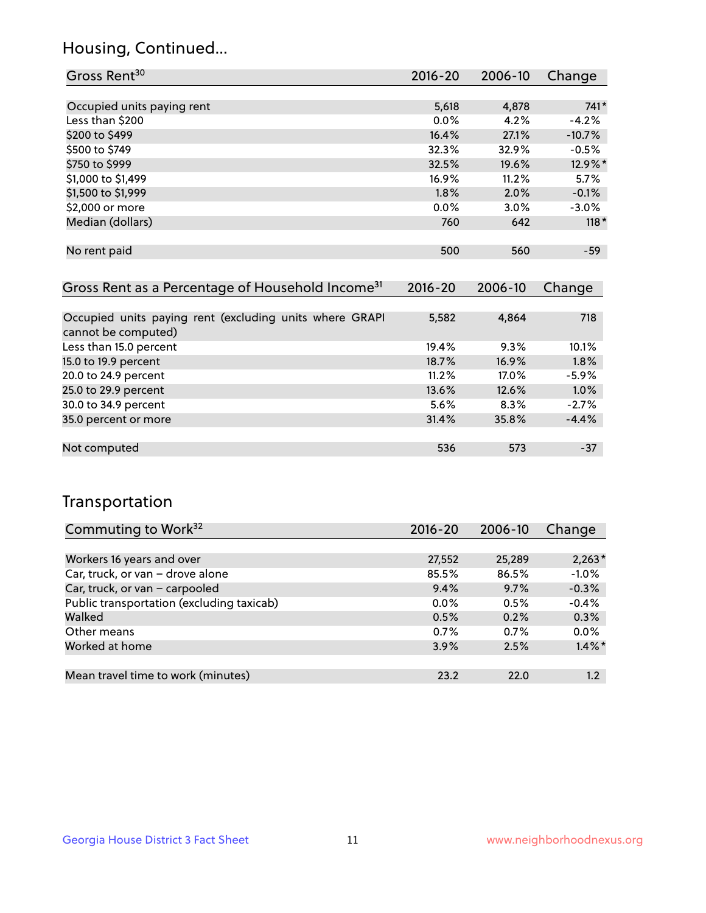## Housing, Continued...

| Gross Rent <sup>30</sup>   | 2016-20 | 2006-10 | Change   |
|----------------------------|---------|---------|----------|
|                            |         |         |          |
| Occupied units paying rent | 5,618   | 4,878   | $741*$   |
| Less than \$200            | $0.0\%$ | 4.2%    | $-4.2%$  |
| \$200 to \$499             | 16.4%   | 27.1%   | $-10.7%$ |
| \$500 to \$749             | 32.3%   | 32.9%   | $-0.5%$  |
| \$750 to \$999             | 32.5%   | 19.6%   | 12.9%*   |
| \$1,000 to \$1,499         | 16.9%   | 11.2%   | 5.7%     |
| \$1,500 to \$1,999         | 1.8%    | 2.0%    | $-0.1%$  |
| \$2,000 or more            | $0.0\%$ | 3.0%    | $-3.0%$  |
| Median (dollars)           | 760     | 642     | $118*$   |
|                            |         |         |          |
| No rent paid               | 500     | 560     | $-59$    |
|                            |         |         |          |

| Gross Rent as a Percentage of Household Income <sup>31</sup>                   | $2016 - 20$ | 2006-10 | Change  |
|--------------------------------------------------------------------------------|-------------|---------|---------|
|                                                                                |             |         |         |
| Occupied units paying rent (excluding units where GRAPI<br>cannot be computed) | 5,582       | 4,864   | 718     |
| Less than 15.0 percent                                                         | 19.4%       | 9.3%    | 10.1%   |
| 15.0 to 19.9 percent                                                           | 18.7%       | 16.9%   | 1.8%    |
| 20.0 to 24.9 percent                                                           | 11.2%       | 17.0%   | $-5.9%$ |
| 25.0 to 29.9 percent                                                           | 13.6%       | 12.6%   | 1.0%    |
| 30.0 to 34.9 percent                                                           | 5.6%        | 8.3%    | $-2.7%$ |
| 35.0 percent or more                                                           | 31.4%       | 35.8%   | $-4.4%$ |
|                                                                                |             |         |         |
| Not computed                                                                   | 536         | 573     | -37     |

## Transportation

| Commuting to Work <sup>32</sup>           | 2016-20 | 2006-10 | Change    |
|-------------------------------------------|---------|---------|-----------|
|                                           |         |         |           |
| Workers 16 years and over                 | 27,552  | 25,289  | $2,263*$  |
| Car, truck, or van - drove alone          | 85.5%   | 86.5%   | $-1.0%$   |
| Car, truck, or van - carpooled            | 9.4%    | 9.7%    | $-0.3%$   |
| Public transportation (excluding taxicab) | $0.0\%$ | 0.5%    | $-0.4%$   |
| Walked                                    | 0.5%    | 0.2%    | 0.3%      |
| Other means                               | 0.7%    | 0.7%    | 0.0%      |
| Worked at home                            | 3.9%    | 2.5%    | $1.4\%$ * |
|                                           |         |         |           |
| Mean travel time to work (minutes)        | 23.2    | 22.0    | $1.2\,$   |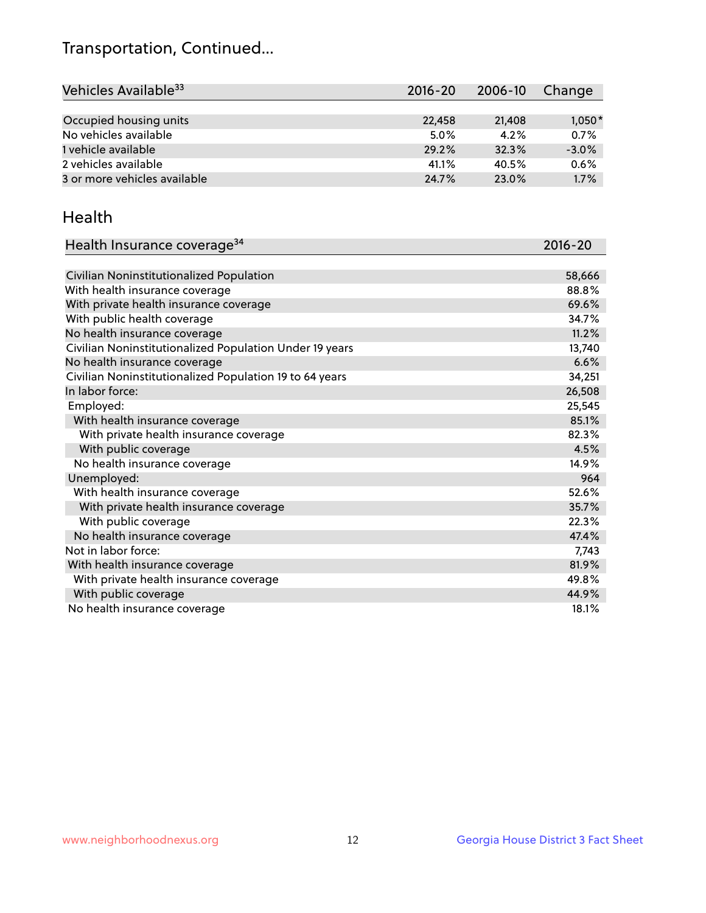## Transportation, Continued...

| Vehicles Available <sup>33</sup> | $2016 - 20$ | 2006-10 | Change   |
|----------------------------------|-------------|---------|----------|
|                                  |             |         |          |
| Occupied housing units           | 22,458      | 21,408  | $1,050*$ |
| No vehicles available            | 5.0%        | 4.2%    | 0.7%     |
| 1 vehicle available              | 29.2%       | 32.3%   | $-3.0%$  |
| 2 vehicles available             | 41.1%       | 40.5%   | 0.6%     |
| 3 or more vehicles available     | 24.7%       | 23.0%   | 1.7%     |

#### Health

| Health Insurance coverage <sup>34</sup>                 | 2016-20 |
|---------------------------------------------------------|---------|
|                                                         |         |
| Civilian Noninstitutionalized Population                | 58,666  |
| With health insurance coverage                          | 88.8%   |
| With private health insurance coverage                  | 69.6%   |
| With public health coverage                             | 34.7%   |
| No health insurance coverage                            | 11.2%   |
| Civilian Noninstitutionalized Population Under 19 years | 13,740  |
| No health insurance coverage                            | 6.6%    |
| Civilian Noninstitutionalized Population 19 to 64 years | 34,251  |
| In labor force:                                         | 26,508  |
| Employed:                                               | 25,545  |
| With health insurance coverage                          | 85.1%   |
| With private health insurance coverage                  | 82.3%   |
| With public coverage                                    | 4.5%    |
| No health insurance coverage                            | 14.9%   |
| Unemployed:                                             | 964     |
| With health insurance coverage                          | 52.6%   |
| With private health insurance coverage                  | 35.7%   |
| With public coverage                                    | 22.3%   |
| No health insurance coverage                            | 47.4%   |
| Not in labor force:                                     | 7,743   |
| With health insurance coverage                          | 81.9%   |
| With private health insurance coverage                  | 49.8%   |
| With public coverage                                    | 44.9%   |
| No health insurance coverage                            | 18.1%   |